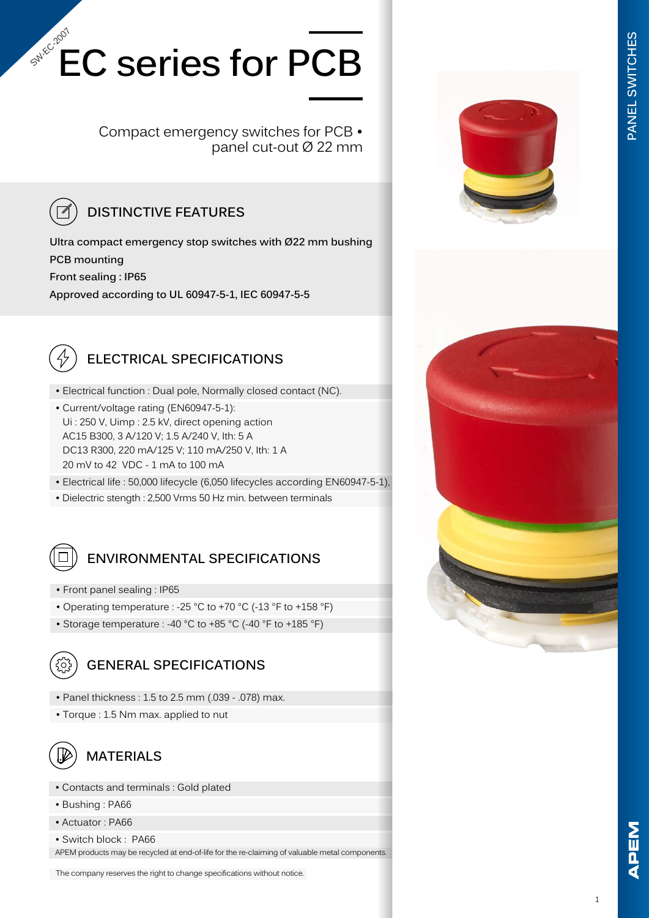# **EC series for PCB** SW-Ec-2007

Compact emergency switches for PCB • panel cut-out Ø 22 mm

### **DISTINCTIVE FEATURES**

**Ultra compact emergency stop switches with Ø22 mm bushing PCB mounting Front sealing : IP65 Approved according to UL 60947-5-1, IEC 60947-5-5**



### **ELECTRICAL SPECIFICATIONS**

- Electrical function : Dual pole, Normally closed contact (NC).
- Current/voltage rating (EN60947-5-1): Ui : 250 V, Uimp : 2.5 kV, direct opening action AC15 B300, 3 A/120 V; 1.5 A/240 V, Ith: 5 A DC13 R300, 220 mA/125 V; 110 mA/250 V, Ith: 1 A 20 mV to 42 VDC - 1 mA to 100 mA
- Electrical life : 50,000 lifecycle (6,050 lifecycles according EN60947-5-1),
- Dielectric stength : 2,500 Vrms 50 Hz min. between terminals

### **ENVIRONMENTAL SPECIFICATIONS**

- Front panel sealing : IP65
- Operating temperature : -25 °C to +70 °C (-13 °F to +158 °F)
- Storage temperature : -40 °C to +85 °C (-40 °F to +185 °F)



#### **GENERAL SPECIFICATIONS**

- Panel thickness : 1.5 to 2.5 mm (.039 .078) max.
- Torque : 1.5 Nm max. applied to nut



#### **MATERIALS**

- Contacts and terminals : Gold plated
- Bushing : PA66
- Actuator : PA66
- Switch block : PA66

APEM products may be recycled at end-of-life for the re-claiming of valuable metal components.

The company reserves the right to change specifications without notice.



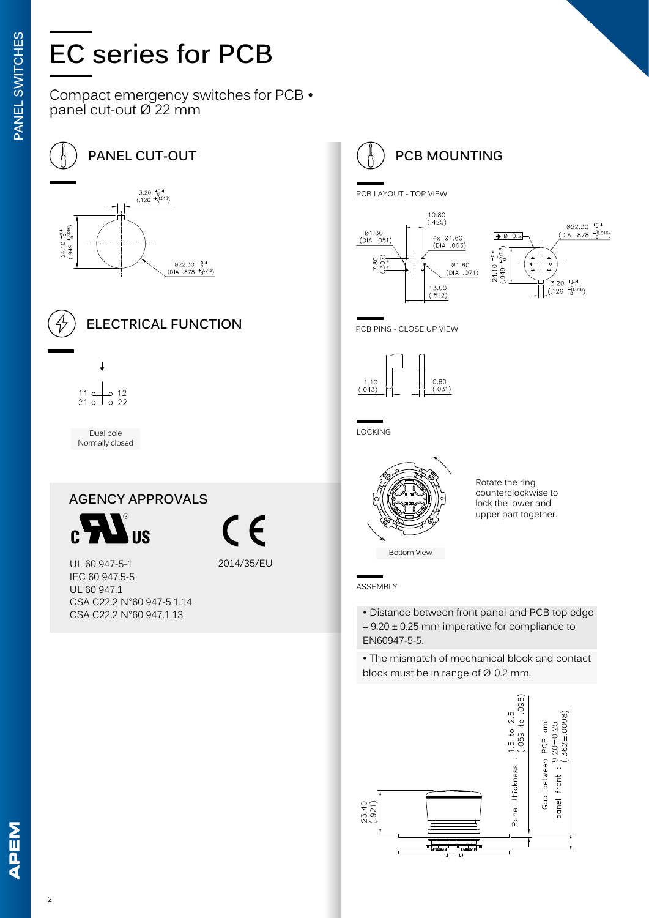# **EC series for PCB**

Compact emergency switches for PCB • panel cut-out Ø 22 mm

 $\begin{array}{r} \emptyset 22.30 \text{ } ^{+0.4} \\ \text{(DIA .878 } ^{+0.016}) \end{array}$ 

**PANEL CUT-OUT**  $3.20^{+0.4}_{0.016}$ <br>(.126  $^{+0.016}_{0.016}$ )  $3.566$  $24.10^{+10}_{+10}$ 



### **ELECTRICAL FUNCTION**



Dual pole Normally closed

### **AGENCY APPROVALS US**

2014/35/EU

UL 60 947-5-1 IEC 60 947.5-5 UL 60 947.1 CSA C22.2 N°60 947-5.1.14 CSA C22.2 N°60 947.1.13

## **PCB MOUNTING**

PCB LAYOUT - TOP VIEW





PCB PINS - CLOSE UP VIEW



LOCKING



Rotate the ring counterclockwise to lock the lower and upper part together.

ASSEMBLY

- Distance between front panel and PCB top edge  $= 9.20 \pm 0.25$  mm imperative for compliance to EN60947-5-5.
- The mismatch of mechanical block and contact block must be in range of Ø 0.2 mm.